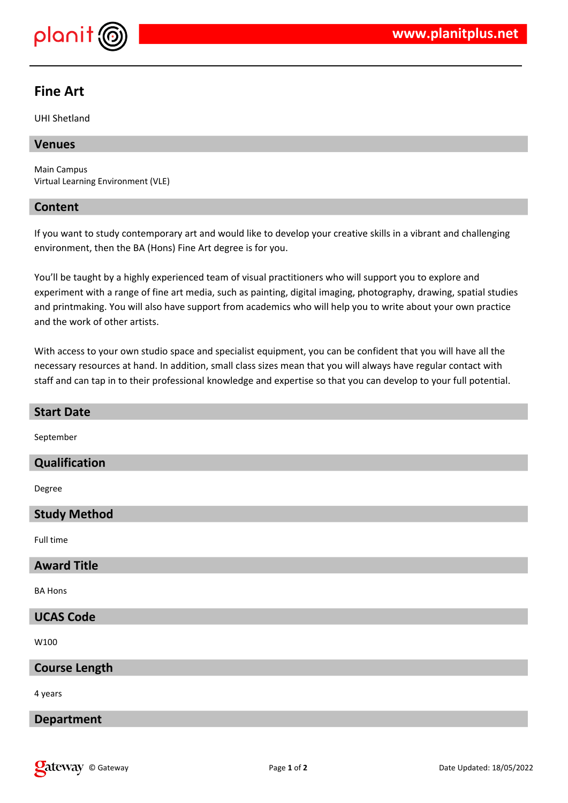

# **Fine Art**

UHI Shetland

## **Venues**

Main Campus Virtual Learning Environment (VLE)

### **Content**

If you want to study contemporary art and would like to develop your creative skills in a vibrant and challenging environment, then the BA (Hons) Fine Art degree is for you.

You'll be taught by a highly experienced team of visual practitioners who will support you to explore and experiment with a range of fine art media, such as painting, digital imaging, photography, drawing, spatial studies and printmaking. You will also have support from academics who will help you to write about your own practice and the work of other artists.

With access to your own studio space and specialist equipment, you can be confident that you will have all the necessary resources at hand. In addition, small class sizes mean that you will always have regular contact with staff and can tap in to their professional knowledge and expertise so that you can develop to your full potential.

| <b>Start Date</b>    |
|----------------------|
| September            |
| Qualification        |
| Degree               |
| <b>Study Method</b>  |
| Full time            |
| <b>Award Title</b>   |
| <b>BA Hons</b>       |
| <b>UCAS Code</b>     |
| W100                 |
| <b>Course Length</b> |
| 4 years              |
| <b>Department</b>    |